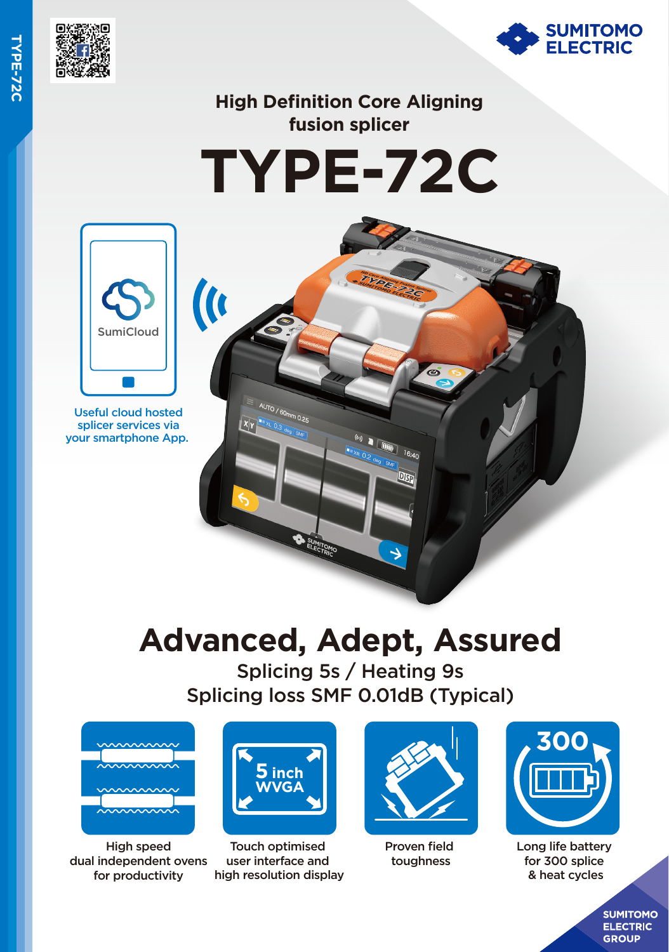



## **High Definition Core Aligning fusion splicer**





 $\overline{\mathbf{u}}$ 

Useful cloud hosted splicer services via your smartphone App.

# **Advanced, Adept, Assured**

 $\frac{f(x)}{xR}$ 

 $16:40$ 

DISF

Splicing 5s / Heating 9s Splicing loss SMF 0.01dB (Typical)



High speed dual independent ovens for productivity



AUTO / 60mm 0.25

Touch optimised user interface and high resolution display



Proven field toughness



Long life battery for 300 splice & heat cycles

**SUMITOMO ELECTRIC GROUP**